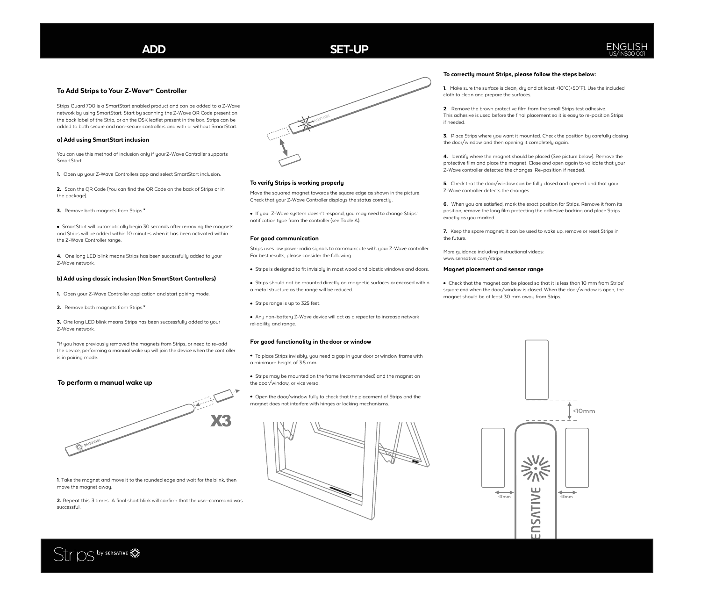#### **To Add Strips to Your Z-Wave™ Controller**

Strips Guard 700 is a SmartStart enabled product and can be added to a Z-Wave network by using SmartStart. Start by scanning the Z-Wave QR Code present on the back label of the Strip, or on the DSK leaflet present in the box. Strips can be added to both secure and non-secure controllers and with or without SmartStart.

#### **a) Add using SmartStart inclusion**

You can use this method of inclusion only if your Z-Wave Controller supports **SmartStart** 

**1.** Open up your Z-Wave Controllers app and select SmartStart inclusion.

**2.** Scan the QR Code (You can find the QR Code on the back of Strips or in the package).

**3.** Remove both magnets from Strips.**\***

**•** SmartStart will automatically begin 30 seconds after removing the magnets and Strips will be added within 10 minutes when it has been activated within the Z-Wave Controller range.

**4.** One long LED blink means Strips has been successfully added to your Z-Wave network.

### **b) Add using classic inclusion (Non SmartStart Controllers)**

**1.** Open your Z-Wave Controller application and start pairing mode.

**2.** Remove both magnets from Strips.**\***

**3.** One long LED blink means Strips has been successfully added to your Z-Wave network.

**\***If you have previously removed the magnets from Strips, or need to re-add the device, performing a manual wake up will join the device when the controller is in pairing mode.

#### **To perform a manual wake up**



**1**. Take the magnet and move it to the rounded edge and wait for the blink, then move the magnet away.

**2.** Repeat this 3 times. A final short blink will confirm that the user-command was successful.



#### **To verify Strips is working properly**

Move the squared magnet towards the square edge as shown in the picture. Check that your Z-Wave Controller displays the status correctly.

If your Z-Wave system doesn't respond, you may need to change Strips' notification type from the controller (see Table A).

#### **For good communication**

Strips uses low power radio signals to communicate with your Z-Wave controller. For best results, please consider the following:

- Strips is designed to fit invisibly in most wood and plastic windows and doors.
- Strips should not be mounted directly on magnetic surfaces or encased within a metal structure as the range will be reduced.
- Strips range is up to 325 feet.

Any non-battery Z-Wave device will act as a repeater to increase network reliability and range.

#### **For good functionality in thedoor or window**

To place Strips invisibly, you need a gap in your door or window frame with a minimum height of 3.5 mm.

Strips may be mounted on the frame (recommended) and the magnet on the door/window, or vice versa.

Open the door/window fully to check that the placement of Strips and the magnet does not interfere with hinges or locking mechanisms.



#### **To correctly mount Strips, please follow the steps below:**

**1.** Make sure the surface is clean, dry and at least +10°C(+50°F). Use the included cloth to clean and prepare the surfaces.

**2**. Remove the brown protective film from the small Strips test adhesive. This adhesive is used before the final placement so it is easy to re-position Strips if needed.

**3.** Place Strips where you want it mounted. Check the position by carefully closing the door/window and then opening it completely again.

**4.** Identify where the magnet should be placed (See picture below). Remove the protective film and place the magnet. Close and open again to validate that your Z-Wave controller detected the changes. Re-position if needed.

**5.** Check that the door/window can be fully closed and opened and that your Z-Wave controller detects the changes.

**6.** When you are satisfied, mark the exact position for Strips. Remove it from its position, remove the long film protecting the adhesive backing and place Strips exactly as you marked.

**7.** Keep the spare magnet; it can be used to wake up, remove or reset Strips in the future.

More guidance including instructional videos: www.sensative.com/strips

#### **Magnet placement and sensor range**

Check that the magnet can be placed so that it is less than 10 mm from Strips' square end when the door/window is closed. When the door/window is open, the magnet should be at least 30 mm away from Strips.